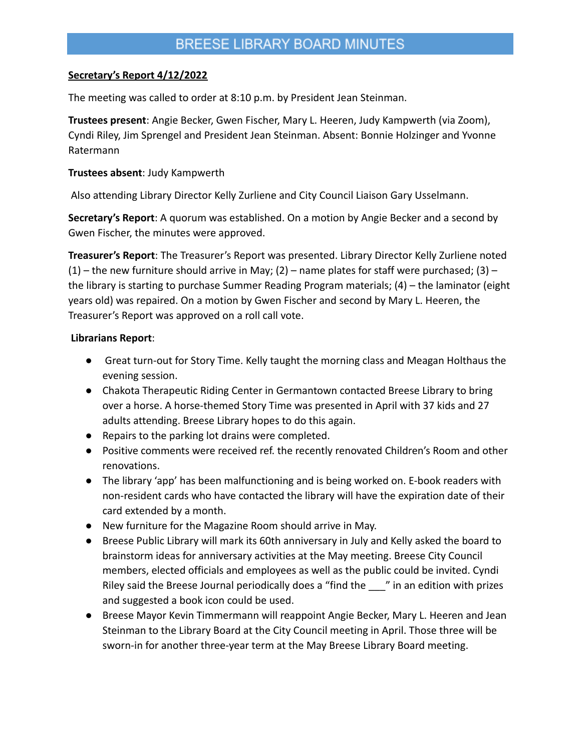## BREESE LIBRARY BOARD MINUTES

#### **Secretary's Report 4/12/2022**

The meeting was called to order at 8:10 p.m. by President Jean Steinman.

**Trustees present**: Angie Becker, Gwen Fischer, Mary L. Heeren, Judy Kampwerth (via Zoom), Cyndi Riley, Jim Sprengel and President Jean Steinman. Absent: Bonnie Holzinger and Yvonne Ratermann

## **Trustees absent**: Judy Kampwerth

Also attending Library Director Kelly Zurliene and City Council Liaison Gary Usselmann.

**Secretary's Report**: A quorum was established. On a motion by Angie Becker and a second by Gwen Fischer, the minutes were approved.

**Treasurer's Report**: The Treasurer's Report was presented. Library Director Kelly Zurliene noted  $(1)$  – the new furniture should arrive in May; (2) – name plates for staff were purchased; (3) – the library is starting to purchase Summer Reading Program materials; (4) – the laminator (eight years old) was repaired. On a motion by Gwen Fischer and second by Mary L. Heeren, the Treasurer's Report was approved on a roll call vote.

## **Librarians Report**:

- Great turn-out for Story Time. Kelly taught the morning class and Meagan Holthaus the evening session.
- Chakota Therapeutic Riding Center in Germantown contacted Breese Library to bring over a horse. A horse-themed Story Time was presented in April with 37 kids and 27 adults attending. Breese Library hopes to do this again.
- Repairs to the parking lot drains were completed.
- Positive comments were received ref. the recently renovated Children's Room and other renovations.
- The library 'app' has been malfunctioning and is being worked on. E-book readers with non-resident cards who have contacted the library will have the expiration date of their card extended by a month.
- New furniture for the Magazine Room should arrive in May.
- Breese Public Library will mark its 60th anniversary in July and Kelly asked the board to brainstorm ideas for anniversary activities at the May meeting. Breese City Council members, elected officials and employees as well as the public could be invited. Cyndi Riley said the Breese Journal periodically does a "find the \_\_\_" in an edition with prizes and suggested a book icon could be used.
- Breese Mayor Kevin Timmermann will reappoint Angie Becker, Mary L. Heeren and Jean Steinman to the Library Board at the City Council meeting in April. Those three will be sworn-in for another three-year term at the May Breese Library Board meeting.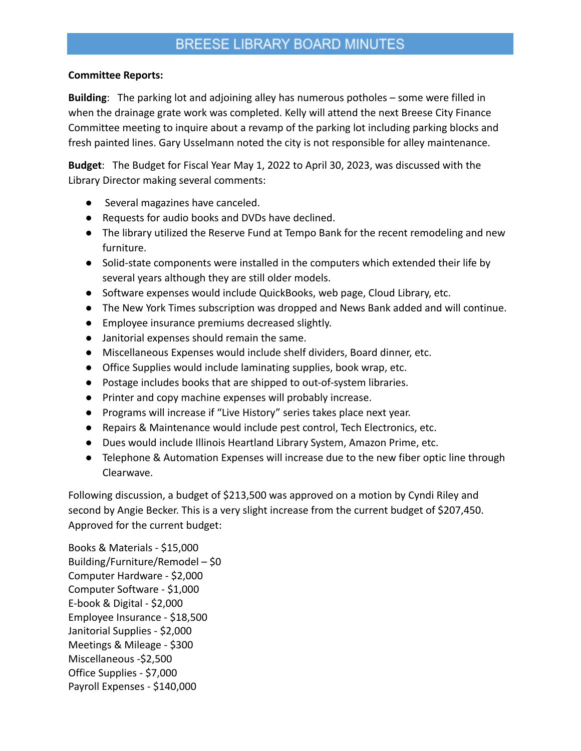# BREESE LIBRARY BOARD MINUTES

#### **Committee Reports:**

**Building**: The parking lot and adjoining alley has numerous potholes – some were filled in when the drainage grate work was completed. Kelly will attend the next Breese City Finance Committee meeting to inquire about a revamp of the parking lot including parking blocks and fresh painted lines. Gary Usselmann noted the city is not responsible for alley maintenance.

**Budget**: The Budget for Fiscal Year May 1, 2022 to April 30, 2023, was discussed with the Library Director making several comments:

- Several magazines have canceled.
- Requests for audio books and DVDs have declined.
- The library utilized the Reserve Fund at Tempo Bank for the recent remodeling and new furniture.
- Solid-state components were installed in the computers which extended their life by several years although they are still older models.
- Software expenses would include QuickBooks, web page, Cloud Library, etc.
- The New York Times subscription was dropped and News Bank added and will continue.
- Employee insurance premiums decreased slightly.
- Janitorial expenses should remain the same.
- Miscellaneous Expenses would include shelf dividers, Board dinner, etc.
- Office Supplies would include laminating supplies, book wrap, etc.
- Postage includes books that are shipped to out-of-system libraries.
- Printer and copy machine expenses will probably increase.
- Programs will increase if "Live History" series takes place next year.
- Repairs & Maintenance would include pest control, Tech Electronics, etc.
- Dues would include Illinois Heartland Library System, Amazon Prime, etc.
- Telephone & Automation Expenses will increase due to the new fiber optic line through Clearwave.

Following discussion, a budget of \$213,500 was approved on a motion by Cyndi Riley and second by Angie Becker. This is a very slight increase from the current budget of \$207,450. Approved for the current budget:

Books & Materials - \$15,000 Building/Furniture/Remodel – \$0 Computer Hardware - \$2,000 Computer Software - \$1,000 E-book & Digital - \$2,000 Employee Insurance - \$18,500 Janitorial Supplies - \$2,000 Meetings & Mileage - \$300 Miscellaneous -\$2,500 Office Supplies - \$7,000 Payroll Expenses - \$140,000